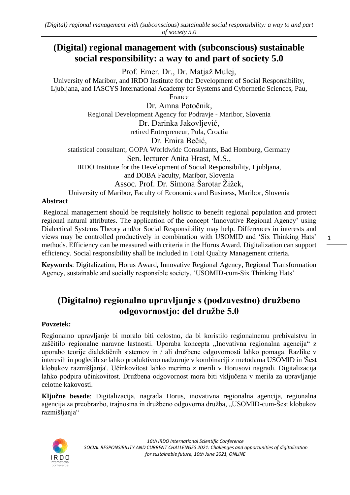## **(Digital) regional management with (subconscious) sustainable social responsibility: a way to and part of society 5.0**

Prof. Emer. Dr., Dr. Matjaž Mulej,

University of Maribor, and IRDO Institute for the Development of Social Responsibility, Ljubljana, and IASCYS International Academy for Systems and Cybernetic Sciences, Pau,

France

Dr. Amna Potočnik, Regional Development Agency for Podravje - Maribor, Slovenia Dr. Darinka Jakovljević, retired Entrepreneur, Pula, Croatia Dr. Emira Bečić, statistical consultant, GOPA Worldwide Consultants, Bad Homburg, Germany Sen. lecturer Anita Hrast, M.S., IRDO Institute for the Development of Social Responsibility, Ljubljana, and DOBA Faculty, Maribor, Slovenia Assoc. Prof. Dr. Simona Šarotar Žižek, University of Maribor, Faculty of Economics and Business, Maribor, Slovenia

#### **Abstract**

Regional management should be requisitely holistic to benefit regional population and protect regional natural attributes. The application of the concept 'Innovative Regional Agency' using Dialectical Systems Theory and/or Social Responsibility may help. Differences in interests and views may be controlled productively in combination with USOMID and 'Six Thinking Hats' methods. Efficiency can be measured with criteria in the Horus Award. Digitalization can support efficiency. Social responsibility shall be included in Total Quality Management criteria.

**Keywords**: Digitalization, Horus Award, Innovative Regional Agency, Regional Transformation Agency, sustainable and socially responsible society, 'USOMID-cum-Six Thinking Hats'

# **(Digitalno) regionalno upravljanje s (podzavestno) družbeno odgovornostjo: del družbe 5.0**

## **Povzetek:**

Regionalno upravljanje bi moralo biti celostno, da bi koristilo regionalnemu prebivalstvu in zaščitilo regionalne naravne lastnosti. Uporaba koncepta "Inovativna regionalna agencija" z uporabo teorije dialektičnih sistemov in / ali družbene odgovornosti lahko pomaga. Razlike v interesih in pogledih se lahko produktivno nadzoruje v kombinaciji z metodama USOMID in 'Šest klobukov razmišljanja'. Učinkovitost lahko merimo z merili v Horusovi nagradi. Digitalizacija lahko podpira učinkovitost. Družbena odgovornost mora biti vključena v merila za upravljanje celotne kakovosti.

**Ključne besede**: Digitalizacija, nagrada Horus, inovativna regionalna agencija, regionalna agencija za preobrazbo, trajnostna in družbeno odgovorna družba, "USOMID-cum-Šest klobukov razmišljanja"

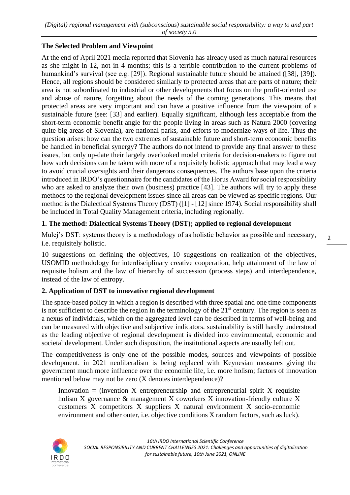#### **The Selected Problem and Viewpoint**

At the end of April 2021 media reported that Slovenia has already used as much natural resources as she might in 12, not in 4 months; this is a terrible contribution to the current problems of humankind's survival (see e.g. [29]). Regional sustainable future should be attained ([38], [39]). Hence, all regions should be considered similarly to protected areas that are parts of nature; their area is not subordinated to industrial or other developments that focus on the profit-oriented use and abuse of nature, forgetting about the needs of the coming generations. This means that protected areas are very important and can have a positive influence from the viewpoint of a sustainable future (see: [33] and earlier). Equally significant, although less acceptable from the short-term economic benefit angle for the people living in areas such as Natura 2000 (covering quite big areas of Slovenia), are national parks, and efforts to modernize ways of life. Thus the question arises: how can the two extremes of sustainable future and short-term economic benefits be handled in beneficial synergy? The authors do not intend to provide any final answer to these issues, but only up-date their largely overlooked model criteria for decision-makers to figure out how such decisions can be taken with more of a requisitely holistic approach that may lead a way to avoid crucial oversights and their dangerous consequences. The authors base upon the criteria introduced in IRDO's questionnaire for the candidates of the Horus Award for social responsibility who are asked to analyze their own (business) practice [43]. The authors will try to apply these methods to the regional development issues since all areas can be viewed as specific regions. Our method is the Dialectical Systems Theory (DST) ([1] - [12] since 1974). Social responsibility shall be included in Total Quality Management criteria, including regionally.

## **1. The method: Dialectical Systems Theory (DST); applied to regional development**

Mulej's DST: systems theory is a methodology of as holistic behavior as possible and necessary, i.e. requisitely holistic.

10 suggestions on defining the objectives, 10 suggestions on realization of the objectives, USOMID methodology for interdisciplinary creative cooperation, help attainment of the law of requisite holism and the law of hierarchy of succession (process steps) and interdependence, instead of the law of entropy.

## **2. Application of DST to innovative regional development**

The space-based policy in which a region is described with three spatial and one time components is not sufficient to describe the region in the terminology of the  $21<sup>st</sup>$  century. The region is seen as a nexus of individuals, which on the aggregated level can be described in terms of well-being and can be measured with objective and subjective indicators. sustainability is still hardly understood as the leading objective of regional development is divided into environmental, economic and societal development. Under such disposition, the institutional aspects are usually left out.

The competitiveness is only one of the possible modes, sources and viewpoints of possible development. in 2021 neoliberalism is being replaced with Keynesian measures giving the government much more influence over the economic life, i.e. more holism; factors of innovation mentioned below may not be zero (X denotes interdependence)?

Innovation  $=$  (invention X entrepreneurship and entrepreneurial spirit X requisite holism X governance & management X coworkers X innovation-friendly culture X customers X competitors X suppliers X natural environment X socio-economic environment and other outer, i.e. objective conditions X random factors, such as luck).

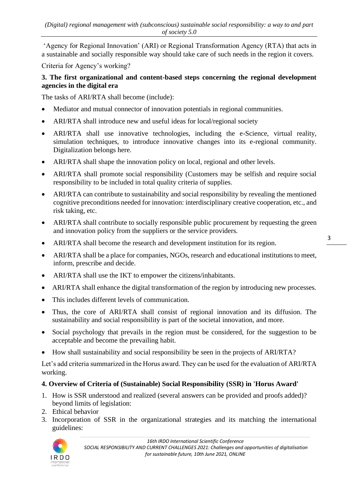'Agency for Regional Innovation' (ARI) or Regional Transformation Agency (RTA) that acts in a sustainable and socially responsible way should take care of such needs in the region it covers.

Criteria for Agency's working?

#### **3. The first organizational and content-based steps concerning the regional development agencies in the digital era**

The tasks of ARI/RTA shall become (include):

- Mediator and mutual connector of innovation potentials in regional communities.
- ARI/RTA shall introduce new and useful ideas for local/regional society
- ARI/RTA shall use innovative technologies, including the e-Science, virtual reality, simulation techniques, to introduce innovative changes into its e-regional community. Digitalization belongs here.
- ARI/RTA shall shape the innovation policy on local, regional and other levels.
- ARI/RTA shall promote social responsibility (Customers may be selfish and require social responsibility to be included in total quality criteria of supplies.
- ARI/RTA can contribute to sustainability and social responsibility by revealing the mentioned cognitive preconditions needed for innovation: interdisciplinary creative cooperation, etc., and risk taking, etc.
- ARI/RTA shall contribute to socially responsible public procurement by requesting the green and innovation policy from the suppliers or the service providers.
- ARI/RTA shall become the research and development institution for its region.
- ARI/RTA shall be a place for companies, NGOs, research and educational institutions to meet, inform, prescribe and decide.
- ARI/RTA shall use the IKT to empower the citizens/inhabitants.
- ARI/RTA shall enhance the digital transformation of the region by introducing new processes.
- This includes different levels of communication.
- Thus, the core of ARI/RTA shall consist of regional innovation and its diffusion. The sustainability and social responsibility is part of the societal innovation, and more.
- Social psychology that prevails in the region must be considered, for the suggestion to be acceptable and become the prevailing habit.
- How shall sustainability and social responsibility be seen in the projects of ARI/RTA?

Let's add criteria summarized in the Horus award. They can be used for the evaluation of ARI/RTA working.

## **4. Overview of Criteria of (Sustainable) Social Responsibility (SSR) in 'Horus Award'**

- 1. How is SSR understood and realized (several answers can be provided and proofs added)? beyond limits of legislation:
- 2. Ethical behavior
- 3. Incorporation of SSR in the organizational strategies and its matching the international guidelines: